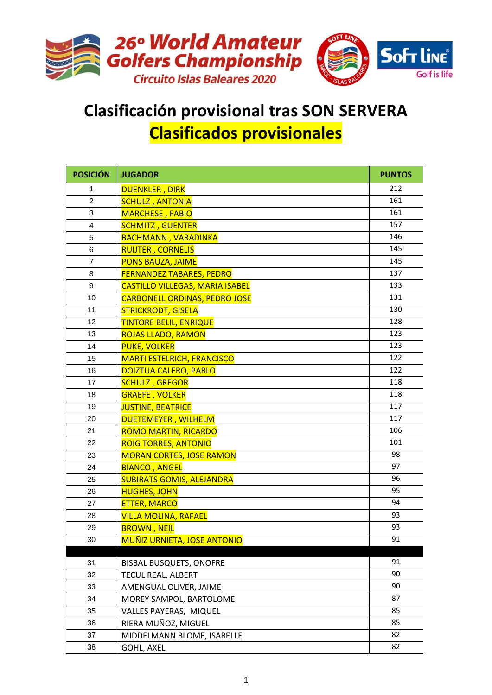

## **Clasificación provisional tras SON SERVERA Clasificados provisionales**

| <b>POSICIÓN</b> | <b>JUGADOR</b>                         | <b>PUNTOS</b> |
|-----------------|----------------------------------------|---------------|
| 1               | <b>DUENKLER, DIRK</b>                  | 212           |
| $\overline{2}$  | <b>SCHULZ, ANTONIA</b>                 | 161           |
| 3               | <b>MARCHESE, FABIO</b>                 | 161           |
| 4               | <b>SCHMITZ, GUENTER</b>                | 157           |
| 5               | <b>BACHMANN, VARADINKA</b>             | 146           |
| 6               | <b>RUIJTER, CORNELIS</b>               | 145           |
| $\overline{7}$  | <b>PONS BAUZA, JAIME</b>               | 145           |
| 8               | <b>FERNANDEZ TABARES, PEDRO</b>        | 137           |
| 9               | <b>CASTILLO VILLEGAS, MARIA ISABEL</b> | 133           |
| 10              | <b>CARBONELL ORDINAS, PEDRO JOSE</b>   | 131           |
| 11              | <b>STRICKRODT, GISELA</b>              | 130           |
| 12              | <b>TINTORE BELIL, ENRIQUE</b>          | 128           |
| 13              | <b>ROJAS LLADO, RAMON</b>              | 123           |
| 14              | <b>PUKE, VOLKER</b>                    | 123           |
| 15              | <b>MARTI ESTELRICH, FRANCISCO</b>      | 122           |
| 16              | <b>DOIZTUA CALERO, PABLO</b>           | 122           |
| 17              | <b>SCHULZ, GREGOR</b>                  | 118           |
| 18              | <b>GRAEFE, VOLKER</b>                  | 118           |
| 19              | <b>JUSTINE, BEATRICE</b>               | 117           |
| 20              | DUETEMEYER, WILHELM                    | 117           |
| 21              | <b>ROMO MARTIN, RICARDO</b>            | 106           |
| 22              | <b>ROIG TORRES, ANTONIO</b>            | 101           |
| 23              | <b>MORAN CORTES, JOSE RAMON</b>        | 98            |
| 24              | <b>BIANCO, ANGEL</b>                   | 97            |
| 25              | <b>SUBIRATS GOMIS, ALEJANDRA</b>       | 96            |
| 26              | <b>HUGHES, JOHN</b>                    | 95            |
| 27              | <b>ETTER, MARCO</b>                    | 94            |
| 28              | <b>VILLA MOLINA, RAFAEL</b>            | 93            |
| 29              | <b>BROWN, NEIL</b>                     | 93            |
| 30              | <b>MUÑIZ URNIETA, JOSE ANTONIO</b>     | 91            |
| 31              | <b>BISBAL BUSQUETS, ONOFRE</b>         | 91            |
| 32              | TECUL REAL, ALBERT                     | 90            |
| 33              | AMENGUAL OLIVER, JAIME                 | 90            |
| 34              | MOREY SAMPOL, BARTOLOME                | 87            |
| 35              | VALLES PAYERAS, MIQUEL                 | 85            |
| 36              | RIERA MUÑOZ, MIGUEL                    | 85            |
| 37              | MIDDELMANN BLOME, ISABELLE             | 82            |
| 38              | <b>GOHL, AXEL</b>                      | 82            |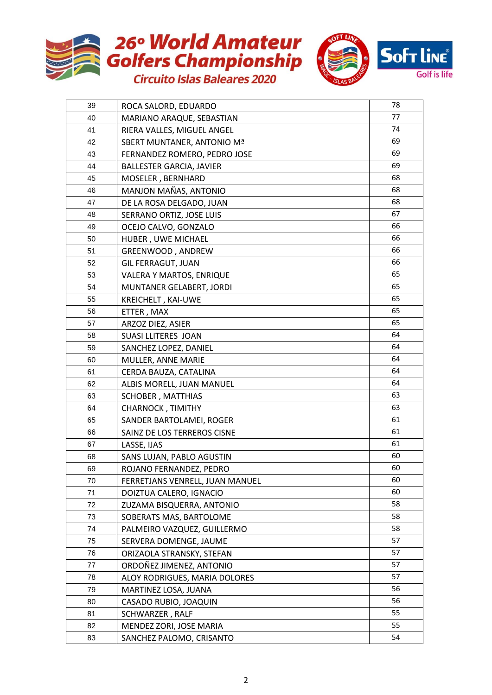



| 39 | ROCA SALORD, EDUARDO            | 78 |
|----|---------------------------------|----|
| 40 | MARIANO ARAQUE, SEBASTIAN       | 77 |
| 41 | RIERA VALLES, MIGUEL ANGEL      | 74 |
| 42 | SBERT MUNTANER, ANTONIO Mª      | 69 |
| 43 | FERNANDEZ ROMERO, PEDRO JOSE    | 69 |
| 44 | <b>BALLESTER GARCIA, JAVIER</b> | 69 |
| 45 | MOSELER, BERNHARD               | 68 |
| 46 | MANJON MAÑAS, ANTONIO           | 68 |
| 47 | DE LA ROSA DELGADO, JUAN        | 68 |
| 48 | SERRANO ORTIZ, JOSE LUIS        | 67 |
| 49 | OCEJO CALVO, GONZALO            | 66 |
| 50 | HUBER, UWE MICHAEL              | 66 |
| 51 | GREENWOOD, ANDREW               | 66 |
| 52 | <b>GIL FERRAGUT, JUAN</b>       | 66 |
| 53 | VALERA Y MARTOS, ENRIQUE        | 65 |
| 54 | MUNTANER GELABERT, JORDI        | 65 |
| 55 | KREICHELT, KAI-UWE              | 65 |
| 56 | ETTER, MAX                      | 65 |
| 57 | ARZOZ DIEZ, ASIER               | 65 |
| 58 | <b>SUASI LLITERES JOAN</b>      | 64 |
| 59 | SANCHEZ LOPEZ, DANIEL           | 64 |
| 60 | MULLER, ANNE MARIE              | 64 |
| 61 | CERDA BAUZA, CATALINA           | 64 |
| 62 | ALBIS MORELL, JUAN MANUEL       | 64 |
| 63 | <b>SCHOBER, MATTHIAS</b>        | 63 |
| 64 | CHARNOCK, TIMITHY               | 63 |
| 65 | SANDER BARTOLAMEI, ROGER        | 61 |
| 66 | SAINZ DE LOS TERREROS CISNE     | 61 |
| 67 | LASSE, IJAS                     | 61 |
| 68 | SANS LUJAN, PABLO AGUSTIN       | 60 |
| 69 | ROJANO FERNANDEZ, PEDRO         | 60 |
| 70 | FERRETJANS VENRELL, JUAN MANUEL | 60 |
| 71 | DOIZTUA CALERO, IGNACIO         | 60 |
| 72 | ZUZAMA BISQUERRA, ANTONIO       | 58 |
| 73 | SOBERATS MAS, BARTOLOME         | 58 |
| 74 | PALMEIRO VAZQUEZ, GUILLERMO     | 58 |
| 75 | SERVERA DOMENGE, JAUME          | 57 |
| 76 | ORIZAOLA STRANSKY, STEFAN       | 57 |
| 77 | ORDOÑEZ JIMENEZ, ANTONIO        | 57 |
| 78 | ALOY RODRIGUES, MARIA DOLORES   | 57 |
| 79 | MARTINEZ LOSA, JUANA            | 56 |
| 80 | CASADO RUBIO, JOAQUIN           | 56 |
| 81 | SCHWARZER, RALF                 | 55 |
| 82 | MENDEZ ZORI, JOSE MARIA         | 55 |
| 83 | SANCHEZ PALOMO, CRISANTO        | 54 |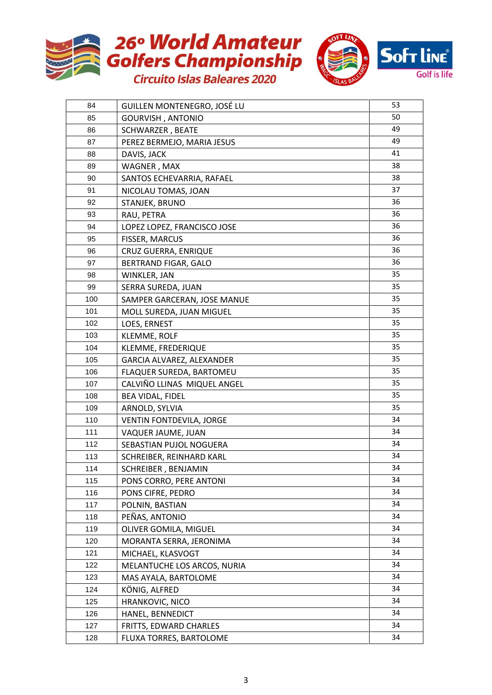



| 84  | GUILLEN MONTENEGRO, JOSÉ LU | 53 |
|-----|-----------------------------|----|
| 85  | <b>GOURVISH, ANTONIO</b>    | 50 |
| 86  | <b>SCHWARZER, BEATE</b>     | 49 |
| 87  | PEREZ BERMEJO, MARIA JESUS  | 49 |
| 88  | DAVIS, JACK                 | 41 |
| 89  | WAGNER, MAX                 | 38 |
| 90  | SANTOS ECHEVARRIA, RAFAEL   | 38 |
| 91  | NICOLAU TOMAS, JOAN         | 37 |
| 92  | STANJEK, BRUNO              | 36 |
| 93  | RAU, PETRA                  | 36 |
| 94  | LOPEZ LOPEZ, FRANCISCO JOSE | 36 |
| 95  | FISSER, MARCUS              | 36 |
| 96  | <b>CRUZ GUERRA, ENRIQUE</b> | 36 |
| 97  | <b>BERTRAND FIGAR, GALO</b> | 36 |
| 98  | WINKLER, JAN                | 35 |
| 99  | SERRA SUREDA, JUAN          | 35 |
| 100 | SAMPER GARCERAN, JOSE MANUE | 35 |
| 101 | MOLL SUREDA, JUAN MIGUEL    | 35 |
| 102 | LOES, ERNEST                | 35 |
| 103 | <b>KLEMME, ROLF</b>         | 35 |
| 104 | KLEMME, FREDERIQUE          | 35 |
| 105 | GARCIA ALVAREZ, ALEXANDER   | 35 |
| 106 | FLAQUER SUREDA, BARTOMEU    | 35 |
| 107 | CALVIÑO LLINAS MIQUEL ANGEL | 35 |
| 108 | BEA VIDAL, FIDEL            | 35 |
| 109 | ARNOLD, SYLVIA              | 35 |
| 110 | VENTIN FONTDEVILA, JORGE    | 34 |
| 111 | VAQUER JAUME, JUAN          | 34 |
| 112 | SEBASTIAN PUJOL NOGUERA     | 34 |
| 113 | SCHREIBER, REINHARD KARL    | 34 |
| 114 | SCHREIBER, BENJAMIN         | 34 |
| 115 | PONS CORRO, PERE ANTONI     | 34 |
| 116 | PONS CIFRE, PEDRO           | 34 |
| 117 | POLNIN, BASTIAN             | 34 |
| 118 | PEÑAS, ANTONIO              | 34 |
| 119 | OLIVER GOMILA, MIGUEL       | 34 |
| 120 | MORANTA SERRA, JERONIMA     | 34 |
| 121 | MICHAEL, KLASVOGT           | 34 |
| 122 | MELANTUCHE LOS ARCOS, NURIA | 34 |
| 123 | MAS AYALA, BARTOLOME        | 34 |
| 124 | KÖNIG, ALFRED               | 34 |
| 125 | HRANKOVIC, NICO             | 34 |
| 126 | HANEL, BENNEDICT            | 34 |
| 127 | FRITTS, EDWARD CHARLES      | 34 |
| 128 | FLUXA TORRES, BARTOLOME     | 34 |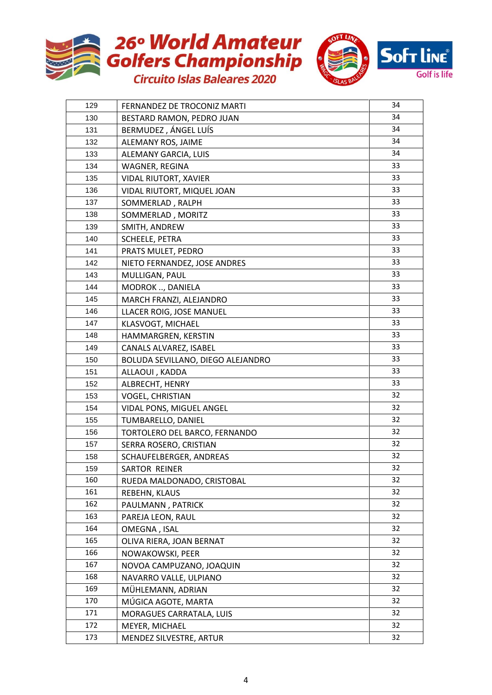



| 129 | FERNANDEZ DE TROCONIZ MARTI       | 34 |
|-----|-----------------------------------|----|
| 130 | BESTARD RAMON, PEDRO JUAN         | 34 |
| 131 | BERMUDEZ, ÁNGEL LUÍS              | 34 |
| 132 | ALEMANY ROS, JAIME                | 34 |
| 133 | ALEMANY GARCIA, LUIS              | 34 |
| 134 | WAGNER, REGINA                    | 33 |
| 135 | <b>VIDAL RIUTORT, XAVIER</b>      | 33 |
| 136 | VIDAL RIUTORT, MIQUEL JOAN        | 33 |
| 137 | SOMMERLAD, RALPH                  | 33 |
| 138 | SOMMERLAD, MORITZ                 | 33 |
| 139 | SMITH, ANDREW                     | 33 |
| 140 | <b>SCHEELE, PETRA</b>             | 33 |
| 141 | PRATS MULET, PEDRO                | 33 |
| 142 | NIETO FERNANDEZ, JOSE ANDRES      | 33 |
| 143 | MULLIGAN, PAUL                    | 33 |
| 144 | MODROK , DANIELA                  | 33 |
| 145 | MARCH FRANZI, ALEJANDRO           | 33 |
| 146 | LLACER ROIG, JOSE MANUEL          | 33 |
| 147 | KLASVOGT, MICHAEL                 | 33 |
| 148 | HAMMARGREN, KERSTIN               | 33 |
| 149 | CANALS ALVAREZ, ISABEL            | 33 |
| 150 | BOLUDA SEVILLANO, DIEGO ALEJANDRO | 33 |
| 151 | ALLAOUI, KADDA                    | 33 |
| 152 | ALBRECHT, HENRY                   | 33 |
| 153 | <b>VOGEL, CHRISTIAN</b>           | 32 |
| 154 | VIDAL PONS, MIGUEL ANGEL          | 32 |
| 155 | TUMBARELLO, DANIEL                | 32 |
| 156 | TORTOLERO DEL BARCO, FERNANDO     | 32 |
| 157 | SERRA ROSERO, CRISTIAN            | 32 |
| 158 | SCHAUFELBERGER, ANDREAS           | 32 |
| 159 | SARTOR REINER                     | 32 |
| 160 | RUEDA MALDONADO, CRISTOBAL        | 32 |
| 161 | REBEHN, KLAUS                     | 32 |
| 162 | PAULMANN, PATRICK                 | 32 |
| 163 | PAREJA LEON, RAUL                 | 32 |
| 164 | OMEGNA, ISAL                      | 32 |
| 165 | OLIVA RIERA, JOAN BERNAT          | 32 |
| 166 | NOWAKOWSKI, PEER                  | 32 |
| 167 | NOVOA CAMPUZANO, JOAQUIN          | 32 |
| 168 | NAVARRO VALLE, ULPIANO            | 32 |
| 169 | MÜHLEMANN, ADRIAN                 | 32 |
| 170 | MÚGICA AGOTE, MARTA               | 32 |
| 171 | MORAGUES CARRATALA, LUIS          | 32 |
| 172 | MEYER, MICHAEL                    | 32 |
| 173 | MENDEZ SILVESTRE, ARTUR           | 32 |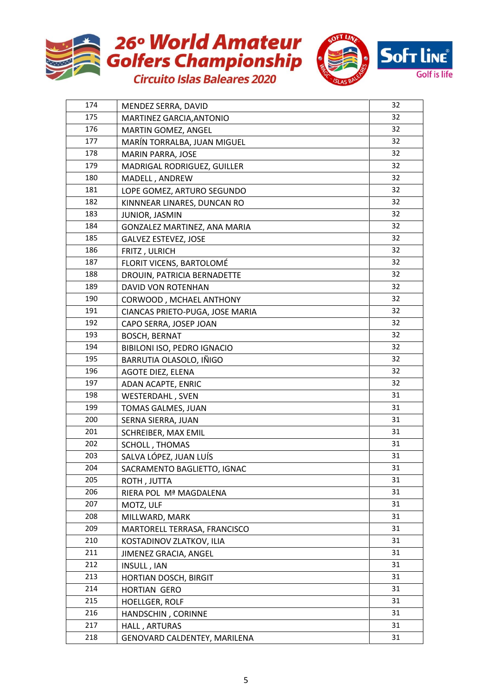



| 174 | MENDEZ SERRA, DAVID             | 32 |
|-----|---------------------------------|----|
| 175 | MARTINEZ GARCIA, ANTONIO        | 32 |
| 176 | MARTIN GOMEZ, ANGEL             | 32 |
| 177 | MARÍN TORRALBA, JUAN MIGUEL     | 32 |
| 178 | MARIN PARRA, JOSE               | 32 |
| 179 | MADRIGAL RODRIGUEZ, GUILLER     | 32 |
| 180 | MADELL, ANDREW                  | 32 |
| 181 | LOPE GOMEZ, ARTURO SEGUNDO      | 32 |
| 182 | KINNNEAR LINARES, DUNCAN RO     | 32 |
| 183 | JUNIOR, JASMIN                  | 32 |
| 184 | GONZALEZ MARTINEZ, ANA MARIA    | 32 |
| 185 | <b>GALVEZ ESTEVEZ, JOSE</b>     | 32 |
| 186 | FRITZ, ULRICH                   | 32 |
| 187 | FLORIT VICENS, BARTOLOMÉ        | 32 |
| 188 | DROUIN, PATRICIA BERNADETTE     | 32 |
| 189 | DAVID VON ROTENHAN              | 32 |
| 190 | CORWOOD, MCHAEL ANTHONY         | 32 |
| 191 | CIANCAS PRIETO-PUGA, JOSE MARIA | 32 |
| 192 | CAPO SERRA, JOSEP JOAN          | 32 |
| 193 | <b>BOSCH, BERNAT</b>            | 32 |
| 194 | BIBILONI ISO, PEDRO IGNACIO     | 32 |
| 195 | BARRUTIA OLASOLO, IÑIGO         | 32 |
| 196 | AGOTE DIEZ, ELENA               | 32 |
| 197 | ADAN ACAPTE, ENRIC              | 32 |
| 198 | <b>WESTERDAHL, SVEN</b>         | 31 |
| 199 | TOMAS GALMES, JUAN              | 31 |
| 200 | SERNA SIERRA, JUAN              | 31 |
| 201 | SCHREIBER, MAX EMIL             | 31 |
| 202 | SCHOLL, THOMAS                  | 31 |
| 203 | SALVA LÓPEZ, JUAN LUÍS          | 31 |
| 204 | SACRAMENTO BAGLIETTO, IGNAC     | 31 |
| 205 | ROTH, JUTTA                     | 31 |
| 206 | RIERA POL Mª MAGDALENA          | 31 |
| 207 | MOTZ, ULF                       | 31 |
| 208 | MILLWARD, MARK                  | 31 |
| 209 | MARTORELL TERRASA, FRANCISCO    | 31 |
| 210 | KOSTADINOV ZLATKOV, ILIA        | 31 |
| 211 | JIMENEZ GRACIA, ANGEL           | 31 |
| 212 | INSULL, IAN                     | 31 |
| 213 | <b>HORTIAN DOSCH, BIRGIT</b>    | 31 |
| 214 | <b>HORTIAN GERO</b>             | 31 |
| 215 | <b>HOELLGER, ROLF</b>           | 31 |
| 216 | HANDSCHIN, CORINNE              | 31 |
| 217 | HALL, ARTURAS                   | 31 |
| 218 | GENOVARD CALDENTEY, MARILENA    | 31 |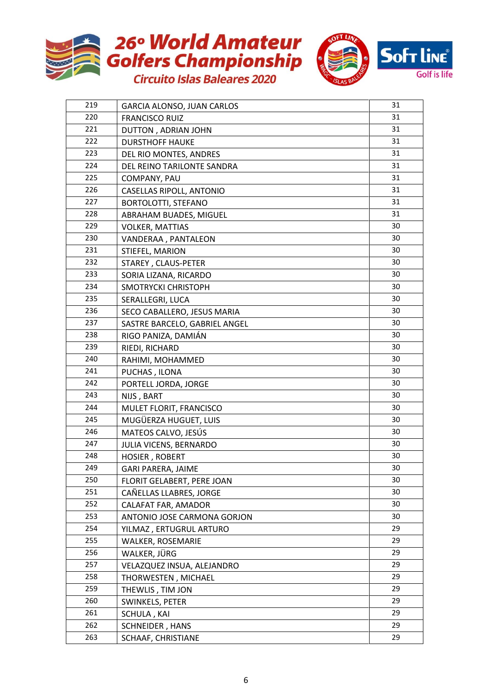



| 219 | <b>GARCIA ALONSO, JUAN CARLOS</b> | 31 |
|-----|-----------------------------------|----|
| 220 | <b>FRANCISCO RUIZ</b>             | 31 |
| 221 | DUTTON, ADRIAN JOHN               | 31 |
| 222 | <b>DURSTHOFF HAUKE</b>            | 31 |
| 223 | DEL RIO MONTES, ANDRES            | 31 |
| 224 | DEL REINO TARILONTE SANDRA        | 31 |
| 225 | COMPANY, PAU                      | 31 |
| 226 | <b>CASELLAS RIPOLL, ANTONIO</b>   | 31 |
| 227 | <b>BORTOLOTTI, STEFANO</b>        | 31 |
| 228 | ABRAHAM BUADES, MIGUEL            | 31 |
| 229 | <b>VOLKER, MATTIAS</b>            | 30 |
| 230 | VANDERAA, PANTALEON               | 30 |
| 231 | STIEFEL, MARION                   | 30 |
| 232 | STAREY, CLAUS-PETER               | 30 |
| 233 | SORIA LIZANA, RICARDO             | 30 |
| 234 | SMOTRYCKI CHRISTOPH               | 30 |
| 235 | SERALLEGRI, LUCA                  | 30 |
| 236 | SECO CABALLERO, JESUS MARIA       | 30 |
| 237 | SASTRE BARCELO, GABRIEL ANGEL     | 30 |
| 238 | RIGO PANIZA, DAMIÁN               | 30 |
| 239 | RIEDI, RICHARD                    | 30 |
| 240 | RAHIMI, MOHAMMED                  | 30 |
| 241 | PUCHAS, ILONA                     | 30 |
| 242 | PORTELL JORDA, JORGE              | 30 |
| 243 | NIJS, BART                        | 30 |
| 244 | MULET FLORIT, FRANCISCO           | 30 |
| 245 | MUGÜERZA HUGUET, LUIS             | 30 |
| 246 | MATEOS CALVO, JESÚS               | 30 |
| 247 | JULIA VICENS, BERNARDO            | 30 |
| 248 | <b>HOSIER, ROBERT</b>             | 30 |
| 249 | <b>GARI PARERA, JAIME</b>         | 30 |
| 250 | FLORIT GELABERT, PERE JOAN        | 30 |
| 251 | CAÑELLAS LLABRES, JORGE           | 30 |
| 252 | CALAFAT FAR, AMADOR               | 30 |
| 253 | ANTONIO JOSE CARMONA GORJON       | 30 |
| 254 | YILMAZ, ERTUGRUL ARTURO           | 29 |
| 255 | WALKER, ROSEMARIE                 | 29 |
| 256 | WALKER, JÜRG                      | 29 |
| 257 | VELAZQUEZ INSUA, ALEJANDRO        | 29 |
| 258 | THORWESTEN, MICHAEL               | 29 |
| 259 | THEWLIS, TIM JON                  | 29 |
| 260 | SWINKELS, PETER                   | 29 |
| 261 | SCHULA, KAI                       | 29 |
| 262 | SCHNEIDER, HANS                   | 29 |
| 263 | SCHAAF, CHRISTIANE                | 29 |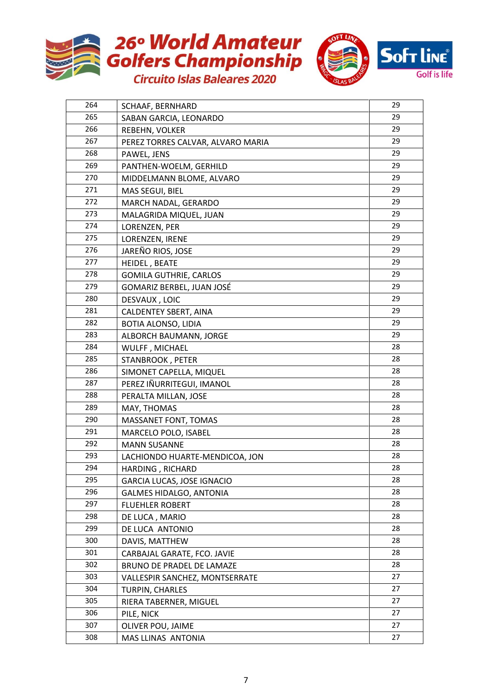



| 264 | SCHAAF, BERNHARD                  | 29 |
|-----|-----------------------------------|----|
| 265 | SABAN GARCIA, LEONARDO            | 29 |
| 266 | REBEHN, VOLKER                    | 29 |
| 267 | PEREZ TORRES CALVAR, ALVARO MARIA | 29 |
| 268 | PAWEL, JENS                       | 29 |
| 269 | PANTHEN-WOELM, GERHILD            | 29 |
| 270 | MIDDELMANN BLOME, ALVARO          | 29 |
| 271 | MAS SEGUI, BIEL                   | 29 |
| 272 | MARCH NADAL, GERARDO              | 29 |
| 273 | MALAGRIDA MIQUEL, JUAN            | 29 |
| 274 | LORENZEN, PER                     | 29 |
| 275 | LORENZEN, IRENE                   | 29 |
| 276 | JAREÑO RIOS, JOSE                 | 29 |
| 277 | HEIDEL, BEATE                     | 29 |
| 278 | <b>GOMILA GUTHRIE, CARLOS</b>     | 29 |
| 279 | GOMARIZ BERBEL, JUAN JOSÉ         | 29 |
| 280 | DESVAUX, LOIC                     | 29 |
| 281 | <b>CALDENTEY SBERT, AINA</b>      | 29 |
| 282 | <b>BOTIA ALONSO, LIDIA</b>        | 29 |
| 283 | ALBORCH BAUMANN, JORGE            | 29 |
| 284 | WULFF, MICHAEL                    | 28 |
| 285 | STANBROOK, PETER                  | 28 |
| 286 | SIMONET CAPELLA, MIQUEL           | 28 |
| 287 | PEREZ IÑURRITEGUI, IMANOL         | 28 |
| 288 | PERALTA MILLAN, JOSE              | 28 |
| 289 | MAY, THOMAS                       | 28 |
| 290 | MASSANET FONT, TOMAS              | 28 |
| 291 | MARCELO POLO, ISABEL              | 28 |
| 292 | <b>MANN SUSANNE</b>               | 28 |
| 293 | LACHIONDO HUARTE-MENDICOA, JON    | 28 |
| 294 | HARDING, RICHARD                  | 28 |
| 295 | <b>GARCIA LUCAS, JOSE IGNACIO</b> | 28 |
| 296 | <b>GALMES HIDALGO, ANTONIA</b>    | 28 |
| 297 | <b>FLUEHLER ROBERT</b>            | 28 |
| 298 | DE LUCA, MARIO                    | 28 |
| 299 | DE LUCA ANTONIO                   | 28 |
| 300 | DAVIS, MATTHEW                    | 28 |
| 301 | CARBAJAL GARATE, FCO. JAVIE       | 28 |
| 302 | BRUNO DE PRADEL DE LAMAZE         | 28 |
| 303 | VALLESPIR SANCHEZ, MONTSERRATE    | 27 |
| 304 | TURPIN, CHARLES                   | 27 |
| 305 | RIERA TABERNER, MIGUEL            | 27 |
| 306 | PILE, NICK                        | 27 |
| 307 | OLIVER POU, JAIME                 | 27 |
| 308 | MAS LLINAS ANTONIA                | 27 |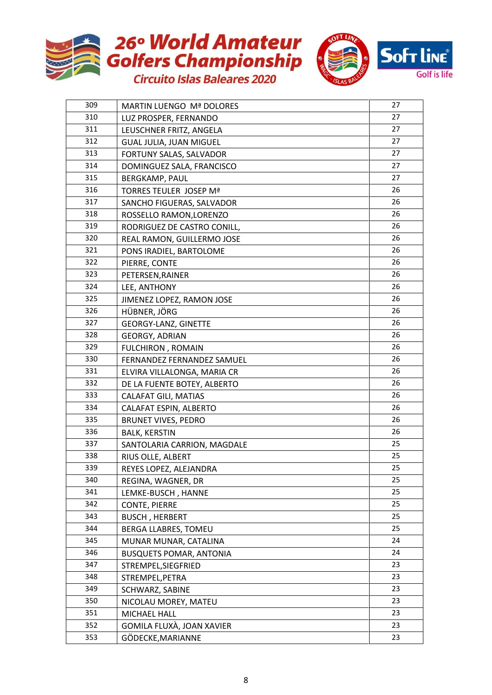



| 309 | <b>MARTIN LUENGO Mª DOLORES</b> | 27 |
|-----|---------------------------------|----|
| 310 | LUZ PROSPER, FERNANDO           | 27 |
| 311 | LEUSCHNER FRITZ, ANGELA         | 27 |
| 312 | GUAL JULIA, JUAN MIGUEL         | 27 |
| 313 | FORTUNY SALAS, SALVADOR         | 27 |
| 314 | DOMINGUEZ SALA, FRANCISCO       | 27 |
| 315 | BERGKAMP, PAUL                  | 27 |
| 316 | TORRES TEULER JOSEP Mª          | 26 |
| 317 | SANCHO FIGUERAS, SALVADOR       | 26 |
| 318 | ROSSELLO RAMON, LORENZO         | 26 |
| 319 | RODRIGUEZ DE CASTRO CONILL,     | 26 |
| 320 | REAL RAMON, GUILLERMO JOSE      | 26 |
| 321 | PONS IRADIEL, BARTOLOME         | 26 |
| 322 | PIERRE, CONTE                   | 26 |
| 323 | PETERSEN, RAINER                | 26 |
| 324 | LEE, ANTHONY                    | 26 |
| 325 | JIMENEZ LOPEZ, RAMON JOSE       | 26 |
| 326 | HÜBNER, JÖRG                    | 26 |
| 327 | <b>GEORGY-LANZ, GINETTE</b>     | 26 |
| 328 | <b>GEORGY, ADRIAN</b>           | 26 |
| 329 | <b>FULCHIRON, ROMAIN</b>        | 26 |
| 330 | FERNANDEZ FERNANDEZ SAMUEL      | 26 |
| 331 | ELVIRA VILLALONGA, MARIA CR     | 26 |
| 332 | DE LA FUENTE BOTEY, ALBERTO     | 26 |
| 333 | CALAFAT GILI, MATIAS            | 26 |
| 334 | CALAFAT ESPIN, ALBERTO          | 26 |
| 335 | <b>BRUNET VIVES, PEDRO</b>      | 26 |
| 336 | <b>BALK, KERSTIN</b>            | 26 |
| 337 | SANTOLARIA CARRION, MAGDALE     | 25 |
| 338 | RIUS OLLE, ALBERT               | 25 |
| 339 | REYES LOPEZ, ALEJANDRA          | 25 |
| 340 | REGINA, WAGNER, DR              | 25 |
| 341 | LEMKE-BUSCH, HANNE              | 25 |
| 342 | <b>CONTE, PIERRE</b>            | 25 |
| 343 | <b>BUSCH, HERBERT</b>           | 25 |
| 344 | <b>BERGA LLABRES, TOMEU</b>     | 25 |
| 345 | MUNAR MUNAR, CATALINA           | 24 |
| 346 | <b>BUSQUETS POMAR, ANTONIA</b>  | 24 |
| 347 | STREMPEL, SIEGFRIED             | 23 |
| 348 | STREMPEL, PETRA                 | 23 |
| 349 | SCHWARZ, SABINE                 | 23 |
| 350 | NICOLAU MOREY, MATEU            | 23 |
| 351 | MICHAEL HALL                    | 23 |
| 352 | GOMILA FLUXÀ, JOAN XAVIER       | 23 |
| 353 | GÖDECKE, MARIANNE               | 23 |